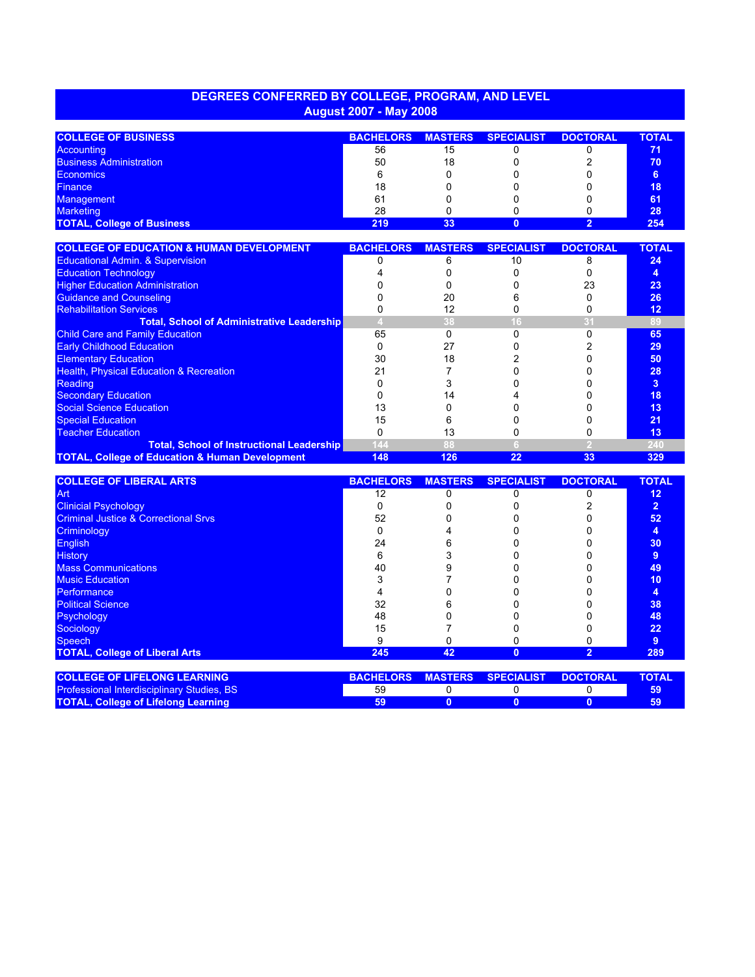## **DEGREES CONFERRED BY COLLEGE, PROGRAM, AND LEVEL August 2007 - May 2008**

| <b>COLLEGE OF BUSINESS</b>        | <b>BACHELORS</b> | <b>MASTERS</b> | <b>SPECIALIST</b> | <b>DOCTORAL</b> | <b>TOTAL</b> |
|-----------------------------------|------------------|----------------|-------------------|-----------------|--------------|
| Accounting                        | 56               | 15             |                   |                 | 71           |
| <b>Business Administration</b>    | 50               | 18             |                   |                 | 70           |
| <b>Economics</b>                  |                  |                |                   |                 |              |
| <b>Finance</b>                    | 18               |                |                   |                 | 18           |
| <b>Management</b>                 | 61               |                |                   |                 | 61           |
| <b>Marketing</b>                  | 28               |                |                   |                 | 28           |
| <b>TOTAL, College of Business</b> | 219              | 33             |                   |                 | 254          |

| <b>COLLEGE OF EDUCATION &amp; HUMAN DEVELOPMENT</b>        | <b>BACHELORS</b> | <b>MASTERS</b> | <b>SPECIALIST</b> | <b>DOCTORAL</b> | <b>TOTAL</b> |
|------------------------------------------------------------|------------------|----------------|-------------------|-----------------|--------------|
| <b>Educational Admin. &amp; Supervision</b>                |                  |                | 10                |                 | 24           |
| <b>Education Technology</b>                                |                  |                |                   |                 | 4            |
| <b>Higher Education Administration</b>                     |                  |                |                   | 23              | 23           |
| <b>Guidance and Counseling</b>                             |                  | 20             |                   |                 | 26           |
| <b>Rehabilitation Services</b>                             |                  |                |                   |                 | 12           |
| <b>Total, School of Administrative Leadership</b>          |                  | 38             |                   |                 | 89           |
| <b>Child Care and Family Education</b>                     | 65               |                |                   |                 | 65           |
| <b>Early Childhood Education</b>                           |                  | 27             |                   |                 | 29           |
| <b>Elementary Education</b>                                | 30               | 18             |                   |                 | 50           |
| <b>Health, Physical Education &amp; Recreation</b>         |                  |                |                   |                 | 28           |
| Reading                                                    |                  |                |                   |                 | 3            |
| <b>Secondary Education</b>                                 |                  | 14             |                   |                 | 18           |
| Social Science Education                                   | 13               |                |                   |                 | 13           |
| <b>Special Education</b>                                   | 15               |                |                   |                 | 21           |
| <b>Teacher Education</b>                                   |                  | 13             |                   |                 | 13           |
| <b>Total, School of Instructional Leadership</b>           | 144              |                |                   |                 | 240          |
| <b>TOTAL, College of Education &amp; Human Development</b> | 148              | 126            | 22                | 33              | 329          |

| <b>COLLEGE OF LIBERAL ARTS</b>                  | <b>BACHELORS</b> | <b>MASTERS</b> | <b>SPECIALIST</b> | <b>DOCTORAL</b> | <b>TOTAL</b>   |
|-------------------------------------------------|------------------|----------------|-------------------|-----------------|----------------|
| Art                                             | 12               |                |                   |                 | 12             |
| <b>Clinicial Psychology</b>                     |                  |                |                   |                 | $\overline{2}$ |
| <b>Criminal Justice &amp; Correctional Srvs</b> | 52               |                |                   |                 | 52             |
| Criminology                                     |                  |                |                   |                 | 4              |
| <b>English</b>                                  | 24               |                |                   |                 | 30             |
| <b>History</b>                                  |                  |                |                   |                 | 9              |
| <b>Mass Communications</b>                      | 40               |                |                   |                 | 49             |
| <b>Music Education</b>                          |                  |                |                   |                 | 10             |
| Performance                                     |                  |                |                   |                 | 4              |
| <b>Political Science</b>                        | 32               |                |                   |                 | 38             |
| Psychology                                      | 48               |                |                   |                 | 48             |
| Sociology                                       | 15               |                |                   |                 | 22             |
| <b>Speech</b>                                   | я                |                |                   |                 | 9              |
| <b>TOTAL, College of Liberal Arts</b>           | 245              | 42             | $\Omega$          | 2               | 289            |
|                                                 |                  |                |                   |                 |                |
| <b>COLLEGE OF LIFELONG LEARNING</b>             | <b>BACHELORS</b> | <b>MASTERS</b> | <b>SPECIALIST</b> | <b>DOCTORAL</b> | <b>TOTAL</b>   |
| Professional Interdisciplinary Studies, BS      | 59               | 0              |                   | 0               | 59             |
| <b>TOTAL, College of Lifelong Learning</b>      | 59               | 0              |                   |                 | 59             |